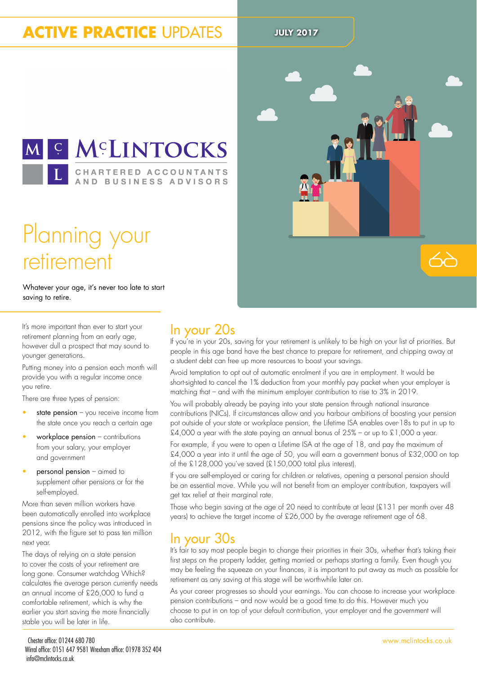### **ACTIVE PRACTICE UPDATES** JULY 2017



## Planning your retirement

Whatever your age, it's never too late to start saving to retire.

It's more important than ever to start your retirement planning from an early age, however dull a prospect that may sound to younger generations.

Putting money into a pension each month will provide you with a regular income once you retire.

There are three types of pension:

- state pension  $-$  you receive income from the state once you reach a certain age
- workplace pension contributions from your salary, your employer and government
- personal pension aimed to supplement other pensions or for the self-employed.

More than seven million workers have been automatically enrolled into workplace pensions since the policy was introduced in 2012, with the igure set to pass ten million next year.

The days of relying on a state pension to cover the costs of your retirement are long gone. Consumer watchdog Which? calculates the average person currently needs an annual income of £26,000 to fund a comfortable retirement, which is why the earlier you start saving the more financially stable you will be later in life.



 $\leftrightarrow$ 

### In your 20s

If you're in your 20s, saving for your retirement is unlikely to be high on your list of priorities. But people in this age band have the best chance to prepare for retirement, and chipping away at a student debt can free up more resources to boost your savings.

Avoid temptation to opt out of automatic enrolment if you are in employment. It would be short-sighted to cancel the 1% deduction from your monthly pay packet when your employer is matching that – and with the minimum employer contribution to rise to 3% in 2019.

You will probably already be paying into your state pension through national insurance contributions (NICs). If circumstances allow and you harbour ambitions of boosting your pension pot outside of your state or workplace pension, the Lifetime ISA enables over-18s to put in up to £4,000 a year with the state paying an annual bonus of  $25%$  – or up to £1,000 a year.

For example, if you were to open a Lifetime ISA at the age of 18, and pay the maximum of £4,000 a year into it until the age of 50, you will earn a government bonus of £32,000 on top of the £128,000 you've saved (£150,000 total plus interest).

If you are self-employed or caring for children or relatives, opening a personal pension should be an essential move. While you will not beneit from an employer contribution, taxpayers will get tax relief at their marginal rate.

Those who begin saving at the age of 20 need to contribute at least (£131 per month over 48 years) to achieve the target income of £26,000 by the average retirement age of 68.

### In your 30s

It's fair to say most people begin to change their priorities in their 30s, whether that's taking their first steps on the property ladder, getting married or perhaps starting a family. Even though you may be feeling the squeeze on your finances, it is important to put away as much as possible for retirement as any saving at this stage will be worthwhile later on.

As your career progresses so should your earnings. You can choose to increase your workplace pension contributions – and now would be a good time to do this. However much you choose to put in on top of your default contribution, your employer and the government will also contribute.